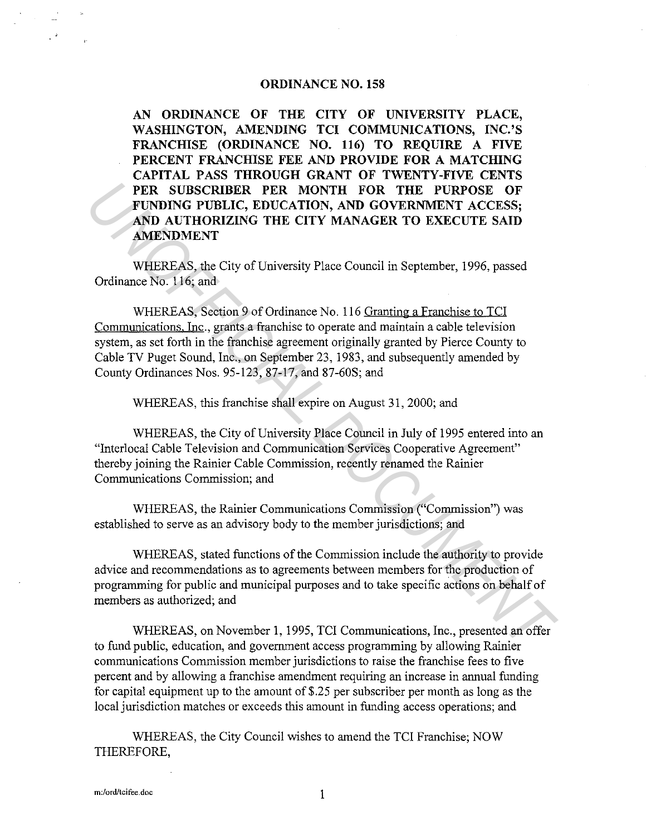#### **ORDINANCE NO. 158**

**AN ORDINANCE OF THE CITY OF UNIVERSITY PLACE, WASHINGTON, AMENDING TCI COMMUNICATIONS, INC.'S FRANCHISE (ORDINANCE NO. 116) TO REQUIRE A FIVE PERCENT FRANCHISE FEE AND PROVIDE FOR A MATCHING CAPITAL PASS THROUGH GRANT OF TWENTY-FIVE CENTS PER SUBSCRIBER PER MONTH FOR THE PURPOSE OF FUNDING PUBLIC, EDUCATION, AND GOVERNMENT ACCESS; AND AUTHORIZING THE CITY MANAGER TO EXECUTE SAID AMENDMENT** 

WHEREAS, the City of University Place Council in September, 1996, passed Ordinance No. 116; and

WHEREAS, Section 9 of Ordinance No. 116 Granting a Franchise to TCI Communications. Inc., grants a franchise to operate and maintain a cable television system, as set forth in the franchise agreement originally granted by Pierce County to Cable TV Puget Sound, Inc., on September 23, 1983, and subsequently amended by County Ordinances Nos. 95-123, 87-17, and 87-60S; and **PER SUBSCRIBER PER MONTH FOR THE PURPOSE OF FUNDING PUBLIC, EDUCATION, AND GOVERNMENT ACCESS;**<br>**AND AUTHORIZING THE CITY MANAGER TO EXECUTE SAID**<br>**AMENDMENT**<br>**WHEREAS**, the City of University Piace Council in September, 1

WHEREAS, this franchise shall expire on August 31, 2000; and

WHEREAS, the City of University Place Council in July of 1995 entered into an "Interlocal Cable Television and Communication Services Cooperative Agreement" thereby joining the Rainier Cable Commission, recently renamed the Rainier Communications Commission; and

WHEREAS, the Rainier Communications Commission ("Commission") was established to serve as an advisory body to the member jurisdictions; and

WHEREAS, stated functions of the Commission include the authority to provide advice and recommendations as to agreements between members for the production of programming for public and municipal purposes and to take specific actions on behalf of members as authorized; and

WHEREAS, on November 1, 1995, TCI Communications, Inc., presented an offer to fund public, education, and government access programming by allowing Rainier communications Commission member jurisdictions to raise the franchise fees to five percent and by allowing a franchise amendment requiring an increase in annual funding for capital equipment up to the amount of \$.25 per subscriber per month as long as the local jurisdiction matches or exceeds this amount in funding access operations; and

WHEREAS, the City Council wishes to amend the TCI Franchise; NOW THEREFORE,

**m:/ord/tcifee.doc** 1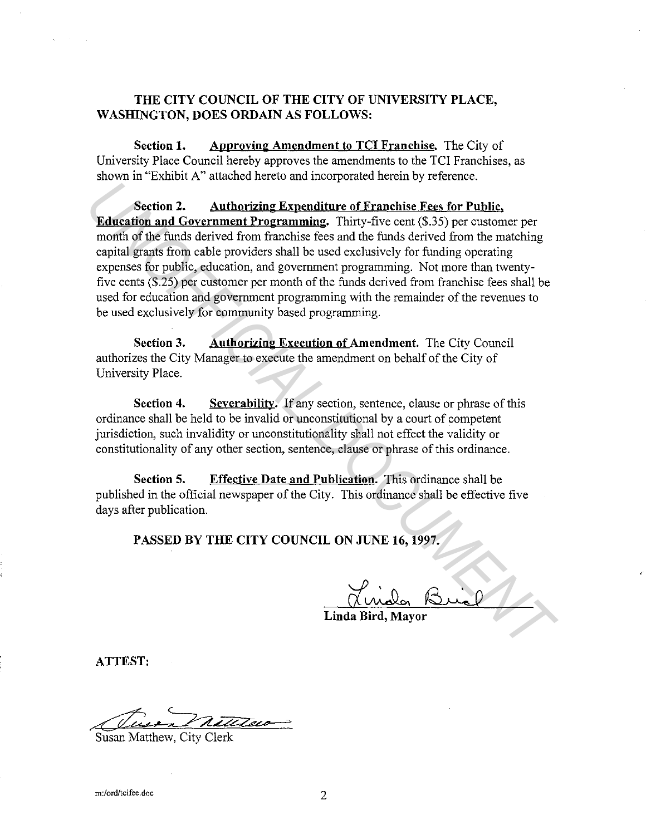# **THE CITY COUNCIL OF THE CITY OF UNIVERSITY PLACE, WASHINGTON, DOES ORDAIN AS FOLLOWS:**

**Section 1.** Approving Amendment to TCI Franchise. The City of University Place Council hereby approves the amendments to the TCI Franchises, as shown in "Exhibit A" attached hereto and incorporated herein by reference.

**Section 2. Authorizing Expenditure of Franchise Fees for Public. Education and Government Programming.** Thirty-five cent (\$.35) per customer per month of the funds derived from franchise fees and the funds derived from the matching capital grants from cable providers shall be used exclusively for funding operating expenses for public, education, and government programming. Not more than twentyfive cents (\$.25) per customer per month of the funds derived from franchise fees shall be used for education and government programming with the remainder of the revenues to be used exclusively for community based programming. **Education 2. Authorizing Expenditure of Franchise Fees for Public,<br>
<b>Education and Government Programming.** Thirty-five cent (\$.35) per customer per<br>
month of the flunds derived from franchise fees and the funds derived

**Section 3. Authorizing Execution of Amendment.** The City Council authorizes the City Manager to execute the amendment on behalf of the City of University Place.

**Section 4.** Severability. If any section, sentence, clause or phrase of this ordinance shall be held to be invalid or unconstitutional by a court of competent jurisdiction, such invalidity or unconstitutionality shall not effect the validity or constitutionality of any other section, sentence, clause or phrase of this ordinance.

**Section 5. Effective Date and Publication.** This ordinance shall be published in the official newspaper of the City. This ordinance shall be effective five days after publication.

**PASSED BY THE CITY COUNCIL ON JUNE 16, 1997.** 

**Linda Bird, Mayor** 

**ATTEST:** 

Susan Matthew, City Clerk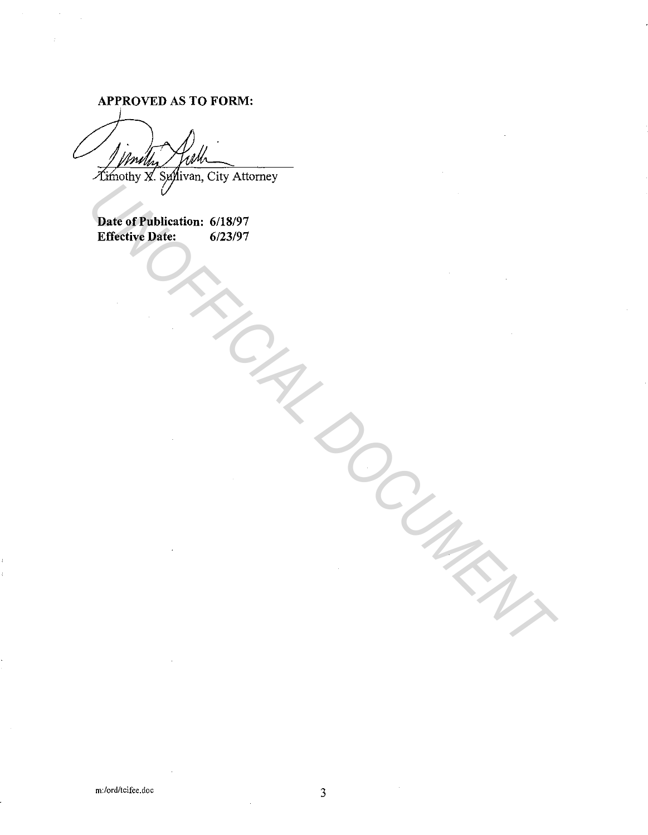**APPROVED AS TO FORM:** 

Date of Publication: 6/18/97<br>Effective Date: 6/23/97 **Effective Date:** Parte of Publication: 6/18/97<br>Effective Date: 6/23/97<br>Allen Content Content Content Content Content Content Content Content Content Content Content Content Content Content Content Content Content Content Content Content Co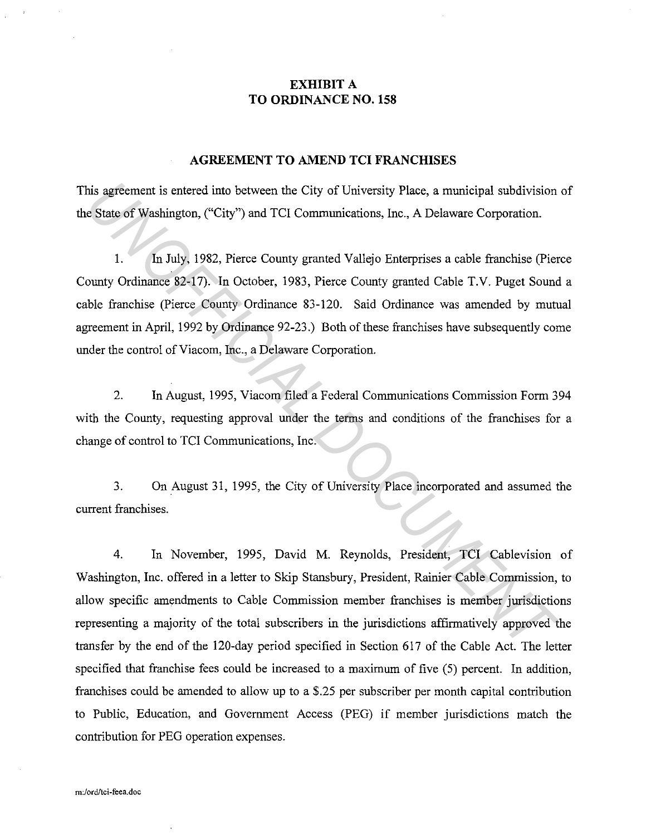## **EXHIBIT A TO ORDINANCE NO. 158**

### **AGREEMENT TO AMEND TCI FRANCHISES**

This agreement is entered into between the City of University Place, a municipal subdivision of the State of Washington, ("City") and TCI Communications, Inc., A Delaware Corporation.

1. In July, 1982, Pierce County granted Vallejo Enterprises a cable franchise (Pierce County Ordinance 82-17). In October, 1983, Pierce County granted Cable T.V. Puget Sound a cable franchise (Pierce County Ordinance 83-120. Said Ordinance was amended by mutual agreement in April, 1992 by Ordinance 92-23.) Both of these franchises have subsequently come under the control of Viacom, Inc., a Delaware Corporation. *Union* Systement is entered into between the City of University Place, a municipal subdivision<br> **Exacte of Washington**, ("City") and TCI Communications, Inc., A Delaware Corporation.<br>
1. In July, 1982, Pierce County grant

2. In August, 1995, Viacom filed a Federal Communications Commission Form 394 with the County, requesting approval under the terms and conditions of the franchises for a change of control to TCI Communications, Inc.

3. On August 31, 1995, the City of University Place incorporated and assumed the current franchises.

4. In November, 1995, David M. Reynolds, President, TCI Cablevision of Washington, Inc. offered in a letter to Skip Stansbury, President, Rainier Cable Commission, to allow specific amendments to Cable Commission member franchises is member jurisdictions representing a majority of the total subscribers in the jurisdictions affirmatively approved the transfer by the end of the 120-day period specified in Section 617 of the Cable Act. The letter specified that franchise fees could be increased to a maximum of five (5) percent. In addition, franchises could be amended to allow up to a \$.25 per subscriber per month capital contribution to Public, Education, and Government Access (PEG) if member jurisdictions match the contribution for PEG operation expenses.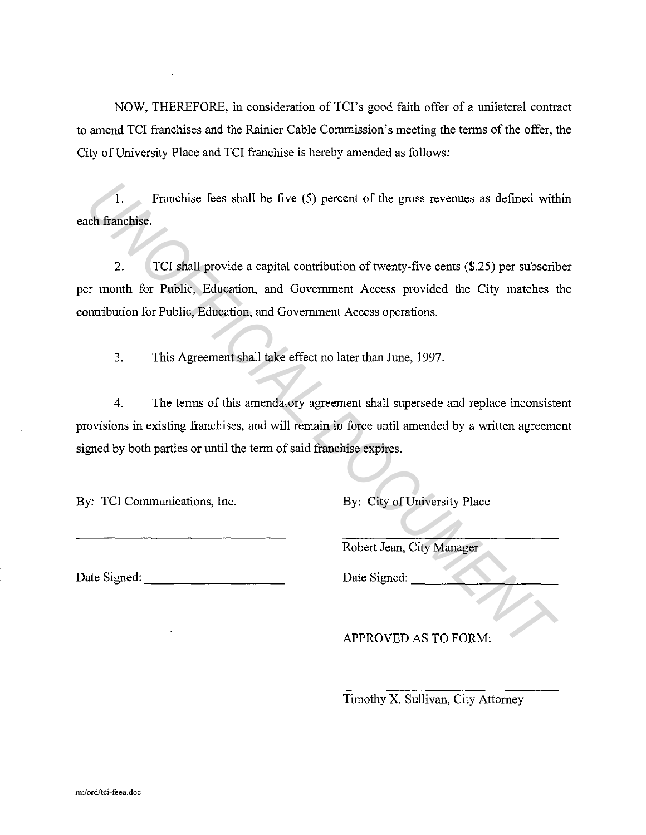NOW, THEREFORE, in consideration of TCI's good faith offer of a unilateral contract to amend TCI franchises and the Rainier Cable Commission's meeting the terms of the offer, the City of University Place and TCI franchise is hereby amended as follows:

1. Franchise fees shall be five (5) percent of the gross revenues as defined within each franchise.

2. TCI shall provide a capital contribution of twenty-five cents (\$.25) per subscriber per month for Public, Education, and Government Access provided the City matches the contribution for Public, Education, and Government Access operations. 1. Franchise fees shall be five (5) percent of the gross revenues as defined with<br>the franchise.<br>
2. TCI shall provide a capital contribution of twenty-five cents (\$.25) per subscrit<br>
2. TCI shall provide a capital contrib

3. This Agreement shall take effect no later than June, 1997.

4. The terms of this amendatory agreement shall supersede and replace inconsistent provisions in existing franchises, and will remain in force until amended by a written agreement signed by both parties or until the term of said franchise expires.

By: TCI Communications, Inc. By: City of University Place

Robert Jean, City Manager

Date Signed: \_\_\_\_\_\_\_\_\_ \_ Date Signed: \_\_\_\_\_\_\_\_\_ \_

APPROVED AS TO FORM:

Timothy X. Sullivan, City Attorney